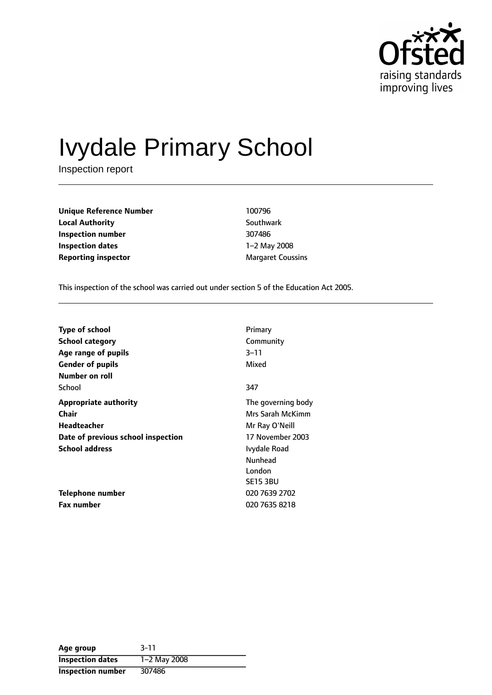

# Ivydale Primary School

Inspection report

**Unique Reference Number** 100796 **Local Authority** Southwark **Inspection number** 307486 **Inspection dates** 1-2 May 2008 **Reporting inspector** Margaret Coussins

This inspection of the school was carried out under section 5 of the Education Act 2005.

| <b>Type of school</b>              | Primary            |
|------------------------------------|--------------------|
| School category                    | Community          |
| Age range of pupils                | $3 - 11$           |
| <b>Gender of pupils</b>            | Mixed              |
| Number on roll                     |                    |
| School                             | 347                |
| <b>Appropriate authority</b>       | The governing body |
| <b>Chair</b>                       | Mrs Sarah McKimm   |
| <b>Headteacher</b>                 | Mr Ray O'Neill     |
| Date of previous school inspection | 17 November 2003   |
| <b>School address</b>              | Ivydale Road       |
|                                    | <b>Nunhead</b>     |
|                                    | London             |
|                                    | <b>SE15 3BU</b>    |
| Telephone number                   | 020 7639 2702      |
| <b>Fax number</b>                  | 020 7635 8218      |

| Age group               | $3 - 11$     |
|-------------------------|--------------|
| <b>Inspection dates</b> | 1-2 May 2008 |
| Inspection number       | 307486       |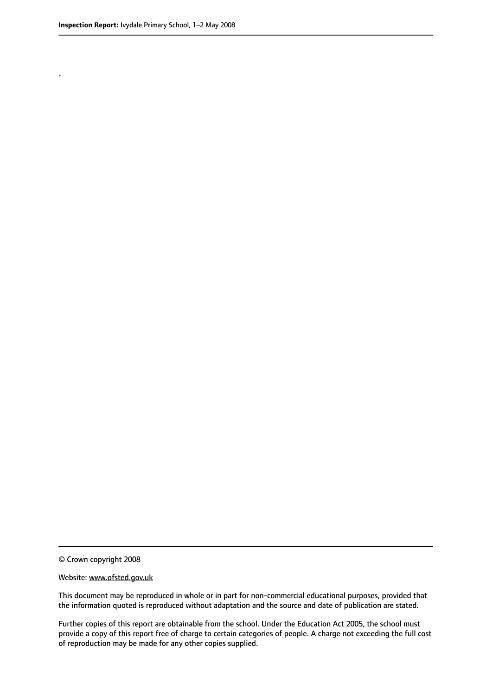.

© Crown copyright 2008

#### Website: www.ofsted.gov.uk

This document may be reproduced in whole or in part for non-commercial educational purposes, provided that the information quoted is reproduced without adaptation and the source and date of publication are stated.

Further copies of this report are obtainable from the school. Under the Education Act 2005, the school must provide a copy of this report free of charge to certain categories of people. A charge not exceeding the full cost of reproduction may be made for any other copies supplied.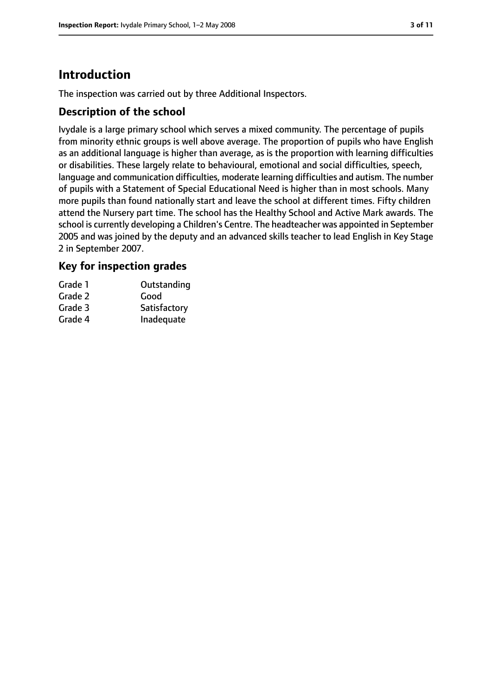# **Introduction**

The inspection was carried out by three Additional Inspectors.

## **Description of the school**

Ivydale is a large primary school which serves a mixed community. The percentage of pupils from minority ethnic groups is well above average. The proportion of pupils who have English as an additional language is higher than average, as is the proportion with learning difficulties or disabilities. These largely relate to behavioural, emotional and social difficulties, speech, language and communication difficulties, moderate learning difficulties and autism. The number of pupils with a Statement of Special Educational Need is higher than in most schools. Many more pupils than found nationally start and leave the school at different times. Fifty children attend the Nursery part time. The school has the Healthy School and Active Mark awards. The school is currently developing a Children's Centre. The headteacher was appointed in September 2005 and was joined by the deputy and an advanced skills teacher to lead English in Key Stage 2 in September 2007.

## **Key for inspection grades**

| Grade 1 | Outstanding  |
|---------|--------------|
| Grade 2 | Good         |
| Grade 3 | Satisfactory |
| Grade 4 | Inadequate   |
|         |              |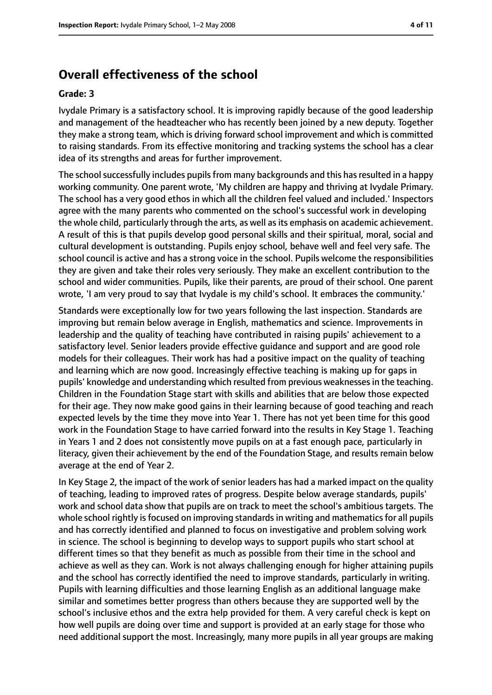## **Overall effectiveness of the school**

#### **Grade: 3**

Ivydale Primary is a satisfactory school. It is improving rapidly because of the good leadership and management of the headteacher who has recently been joined by a new deputy. Together they make a strong team, which is driving forward school improvement and which is committed to raising standards. From its effective monitoring and tracking systems the school has a clear idea of its strengths and areas for further improvement.

The school successfully includes pupils from many backgrounds and this has resulted in a happy working community. One parent wrote, 'My children are happy and thriving at Ivydale Primary. The school has a very good ethos in which all the children feel valued and included.' Inspectors agree with the many parents who commented on the school's successful work in developing the whole child, particularly through the arts, as well as its emphasis on academic achievement. A result of this is that pupils develop good personal skills and their spiritual, moral, social and cultural development is outstanding. Pupils enjoy school, behave well and feel very safe. The school council is active and has a strong voice in the school. Pupils welcome the responsibilities they are given and take their roles very seriously. They make an excellent contribution to the school and wider communities. Pupils, like their parents, are proud of their school. One parent wrote, 'I am very proud to say that Ivydale is my child's school. It embraces the community.'

Standards were exceptionally low for two years following the last inspection. Standards are improving but remain below average in English, mathematics and science. Improvements in leadership and the quality of teaching have contributed in raising pupils' achievement to a satisfactory level. Senior leaders provide effective guidance and support and are good role models for their colleagues. Their work has had a positive impact on the quality of teaching and learning which are now good. Increasingly effective teaching is making up for gaps in pupils' knowledge and understanding which resulted from previous weaknessesin the teaching. Children in the Foundation Stage start with skills and abilities that are below those expected for their age. They now make good gains in their learning because of good teaching and reach expected levels by the time they move into Year 1. There has not yet been time for this good work in the Foundation Stage to have carried forward into the results in Key Stage 1. Teaching in Years 1 and 2 does not consistently move pupils on at a fast enough pace, particularly in literacy, given their achievement by the end of the Foundation Stage, and results remain below average at the end of Year 2.

In Key Stage 2, the impact of the work of senior leaders has had a marked impact on the quality of teaching, leading to improved rates of progress. Despite below average standards, pupils' work and school data show that pupils are on track to meet the school's ambitious targets. The whole school rightly is focused on improving standards in writing and mathematics for all pupils and has correctly identified and planned to focus on investigative and problem solving work in science. The school is beginning to develop ways to support pupils who start school at different times so that they benefit as much as possible from their time in the school and achieve as well as they can. Work is not always challenging enough for higher attaining pupils and the school has correctly identified the need to improve standards, particularly in writing. Pupils with learning difficulties and those learning English as an additional language make similar and sometimes better progress than others because they are supported well by the school's inclusive ethos and the extra help provided for them. A very careful check is kept on how well pupils are doing over time and support is provided at an early stage for those who need additional support the most. Increasingly, many more pupils in all year groups are making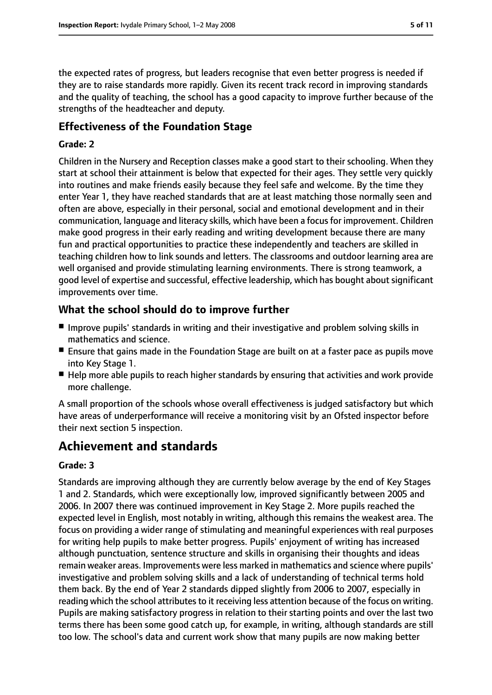the expected rates of progress, but leaders recognise that even better progress is needed if they are to raise standards more rapidly. Given its recent track record in improving standards and the quality of teaching, the school has a good capacity to improve further because of the strengths of the headteacher and deputy.

## **Effectiveness of the Foundation Stage**

#### **Grade: 2**

Children in the Nursery and Reception classes make a good start to their schooling. When they start at school their attainment is below that expected for their ages. They settle very quickly into routines and make friends easily because they feel safe and welcome. By the time they enter Year 1, they have reached standards that are at least matching those normally seen and often are above, especially in their personal, social and emotional development and in their communication, language and literacy skills, which have been a focus for improvement. Children make good progress in their early reading and writing development because there are many fun and practical opportunities to practice these independently and teachers are skilled in teaching children how to link sounds and letters. The classrooms and outdoor learning area are well organised and provide stimulating learning environments. There is strong teamwork, a good level of expertise and successful, effective leadership, which has bought aboutsignificant improvements over time.

## **What the school should do to improve further**

- Improve pupils' standards in writing and their investigative and problem solving skills in mathematics and science.
- Ensure that gains made in the Foundation Stage are built on at a faster pace as pupils move into Key Stage 1.
- Help more able pupils to reach higher standards by ensuring that activities and work provide more challenge.

A small proportion of the schools whose overall effectiveness is judged satisfactory but which have areas of underperformance will receive a monitoring visit by an Ofsted inspector before their next section 5 inspection.

# **Achievement and standards**

#### **Grade: 3**

Standards are improving although they are currently below average by the end of Key Stages 1 and 2. Standards, which were exceptionally low, improved significantly between 2005 and 2006. In 2007 there was continued improvement in Key Stage 2. More pupils reached the expected level in English, most notably in writing, although this remains the weakest area. The focus on providing a wider range of stimulating and meaningful experiences with real purposes for writing help pupils to make better progress. Pupils' enjoyment of writing has increased although punctuation, sentence structure and skills in organising their thoughts and ideas remain weaker areas. Improvements were less marked in mathematics and science where pupils' investigative and problem solving skills and a lack of understanding of technical terms hold them back. By the end of Year 2 standards dipped slightly from 2006 to 2007, especially in reading which the school attributes to it receiving less attention because of the focus on writing. Pupils are making satisfactory progress in relation to their starting points and over the last two terms there has been some good catch up, for example, in writing, although standards are still too low. The school's data and current work show that many pupils are now making better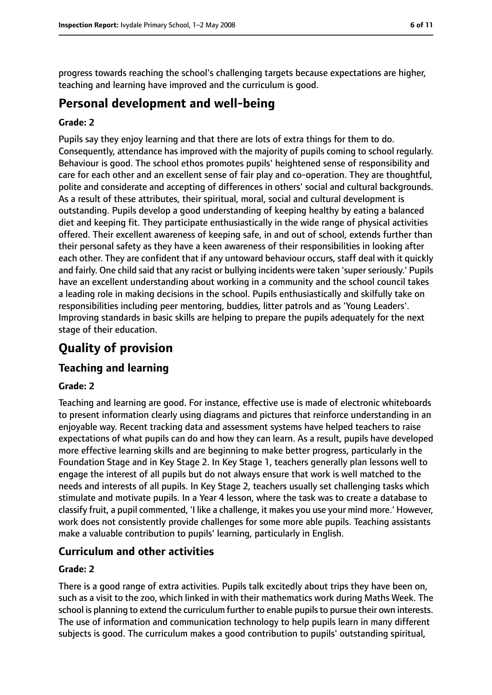progress towards reaching the school's challenging targets because expectations are higher, teaching and learning have improved and the curriculum is good.

## **Personal development and well-being**

#### **Grade: 2**

Pupils say they enjoy learning and that there are lots of extra things for them to do. Consequently, attendance has improved with the majority of pupils coming to school regularly. Behaviour is good. The school ethos promotes pupils' heightened sense of responsibility and care for each other and an excellent sense of fair play and co-operation. They are thoughtful, polite and considerate and accepting of differences in others' social and cultural backgrounds. As a result of these attributes, their spiritual, moral, social and cultural development is outstanding. Pupils develop a good understanding of keeping healthy by eating a balanced diet and keeping fit. They participate enthusiastically in the wide range of physical activities offered. Their excellent awareness of keeping safe, in and out of school, extends further than their personal safety as they have a keen awareness of their responsibilities in looking after each other. They are confident that if any untoward behaviour occurs, staff deal with it quickly and fairly. One child said that any racist or bullying incidents were taken 'super seriously.' Pupils have an excellent understanding about working in a community and the school council takes a leading role in making decisions in the school. Pupils enthusiastically and skilfully take on responsibilities including peer mentoring, buddies, litter patrols and as 'Young Leaders'. Improving standards in basic skills are helping to prepare the pupils adequately for the next stage of their education.

# **Quality of provision**

## **Teaching and learning**

## **Grade: 2**

Teaching and learning are good. For instance, effective use is made of electronic whiteboards to present information clearly using diagrams and pictures that reinforce understanding in an enjoyable way. Recent tracking data and assessment systems have helped teachers to raise expectations of what pupils can do and how they can learn. As a result, pupils have developed more effective learning skills and are beginning to make better progress, particularly in the Foundation Stage and in Key Stage 2. In Key Stage 1, teachers generally plan lessons well to engage the interest of all pupils but do not always ensure that work is well matched to the needs and interests of all pupils. In Key Stage 2, teachers usually set challenging tasks which stimulate and motivate pupils. In a Year 4 lesson, where the task was to create a database to classify fruit, a pupil commented, 'I like a challenge, it makes you use your mind more.' However, work does not consistently provide challenges for some more able pupils. Teaching assistants make a valuable contribution to pupils' learning, particularly in English.

## **Curriculum and other activities**

#### **Grade: 2**

There is a good range of extra activities. Pupils talk excitedly about trips they have been on, such as a visit to the zoo, which linked in with their mathematics work during Maths Week. The school is planning to extend the curriculum further to enable pupils to pursue their own interests. The use of information and communication technology to help pupils learn in many different subjects is good. The curriculum makes a good contribution to pupils' outstanding spiritual,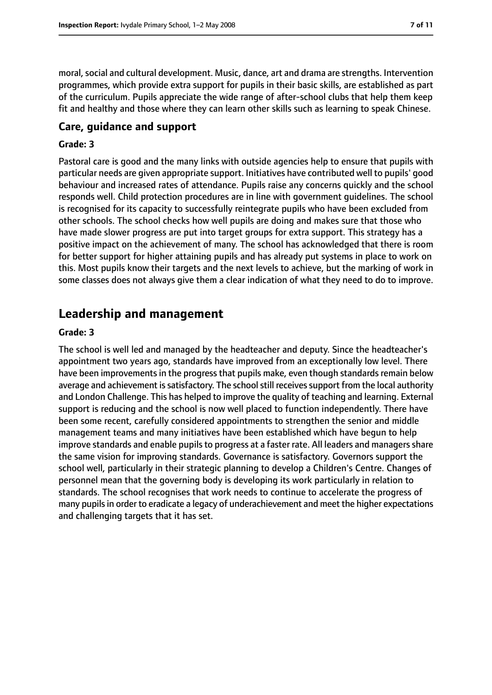moral, social and cultural development. Music, dance, art and drama are strengths. Intervention programmes, which provide extra support for pupils in their basic skills, are established as part of the curriculum. Pupils appreciate the wide range of after-school clubs that help them keep fit and healthy and those where they can learn other skills such as learning to speak Chinese.

## **Care, guidance and support**

#### **Grade: 3**

Pastoral care is good and the many links with outside agencies help to ensure that pupils with particular needs are given appropriate support. Initiatives have contributed well to pupils' good behaviour and increased rates of attendance. Pupils raise any concerns quickly and the school responds well. Child protection procedures are in line with government guidelines. The school is recognised for its capacity to successfully reintegrate pupils who have been excluded from other schools. The school checks how well pupils are doing and makes sure that those who have made slower progress are put into target groups for extra support. This strategy has a positive impact on the achievement of many. The school has acknowledged that there is room for better support for higher attaining pupils and has already put systems in place to work on this. Most pupils know their targets and the next levels to achieve, but the marking of work in some classes does not always give them a clear indication of what they need to do to improve.

# **Leadership and management**

#### **Grade: 3**

The school is well led and managed by the headteacher and deputy. Since the headteacher's appointment two years ago, standards have improved from an exceptionally low level. There have been improvements in the progress that pupils make, even though standards remain below average and achievement is satisfactory. The school still receives support from the local authority and London Challenge. This has helped to improve the quality of teaching and learning. External support is reducing and the school is now well placed to function independently. There have been some recent, carefully considered appointments to strengthen the senior and middle management teams and many initiatives have been established which have begun to help improve standards and enable pupils to progress at a faster rate. All leaders and managers share the same vision for improving standards. Governance is satisfactory. Governors support the school well, particularly in their strategic planning to develop a Children's Centre. Changes of personnel mean that the governing body is developing its work particularly in relation to standards. The school recognises that work needs to continue to accelerate the progress of many pupils in order to eradicate a legacy of underachievement and meet the higher expectations and challenging targets that it has set.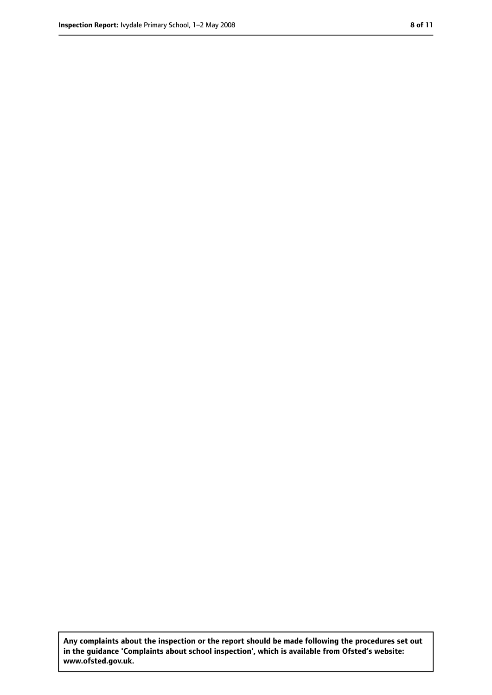**Any complaints about the inspection or the report should be made following the procedures set out in the guidance 'Complaints about school inspection', which is available from Ofsted's website: www.ofsted.gov.uk.**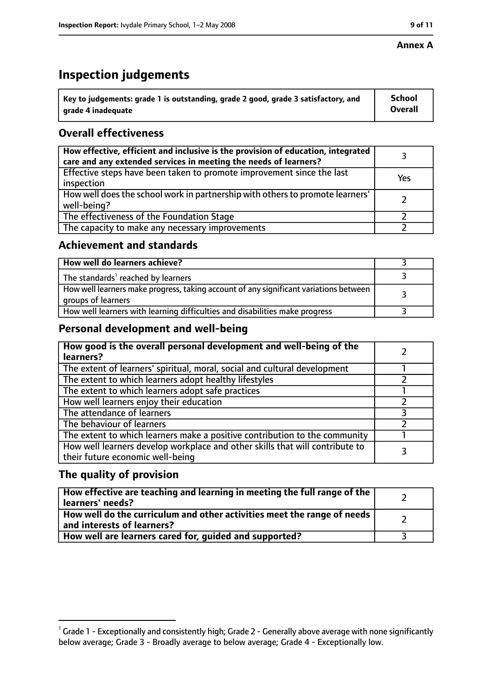#### **Annex A**

# **Inspection judgements**

| $^{\backprime}$ Key to judgements: grade 1 is outstanding, grade 2 good, grade 3 satisfactory, and | <b>School</b>  |
|----------------------------------------------------------------------------------------------------|----------------|
| arade 4 inadeguate                                                                                 | <b>Overall</b> |

## **Overall effectiveness**

| How effective, efficient and inclusive is the provision of education, integrated<br>care and any extended services in meeting the needs of learners? |     |
|------------------------------------------------------------------------------------------------------------------------------------------------------|-----|
| Effective steps have been taken to promote improvement since the last<br>inspection                                                                  | Yes |
| How well does the school work in partnership with others to promote learners'<br>well-being?                                                         |     |
| The effectiveness of the Foundation Stage                                                                                                            |     |
| The capacity to make any necessary improvements                                                                                                      |     |

## **Achievement and standards**

| How well do learners achieve?                                                                               |  |
|-------------------------------------------------------------------------------------------------------------|--|
| The standards <sup>1</sup> reached by learners                                                              |  |
| How well learners make progress, taking account of any significant variations between<br>groups of learners |  |
| How well learners with learning difficulties and disabilities make progress                                 |  |

## **Personal development and well-being**

| How good is the overall personal development and well-being of the<br>learners?                                  |  |
|------------------------------------------------------------------------------------------------------------------|--|
| The extent of learners' spiritual, moral, social and cultural development                                        |  |
| The extent to which learners adopt healthy lifestyles                                                            |  |
| The extent to which learners adopt safe practices                                                                |  |
| How well learners enjoy their education                                                                          |  |
| The attendance of learners                                                                                       |  |
| The behaviour of learners                                                                                        |  |
| The extent to which learners make a positive contribution to the community                                       |  |
| How well learners develop workplace and other skills that will contribute to<br>their future economic well-being |  |

## **The quality of provision**

| How effective are teaching and learning in meeting the full range of the<br>learners' needs?          |  |
|-------------------------------------------------------------------------------------------------------|--|
| How well do the curriculum and other activities meet the range of needs<br>and interests of learners? |  |
| How well are learners cared for, quided and supported?                                                |  |

 $^1$  Grade 1 - Exceptionally and consistently high; Grade 2 - Generally above average with none significantly below average; Grade 3 - Broadly average to below average; Grade 4 - Exceptionally low.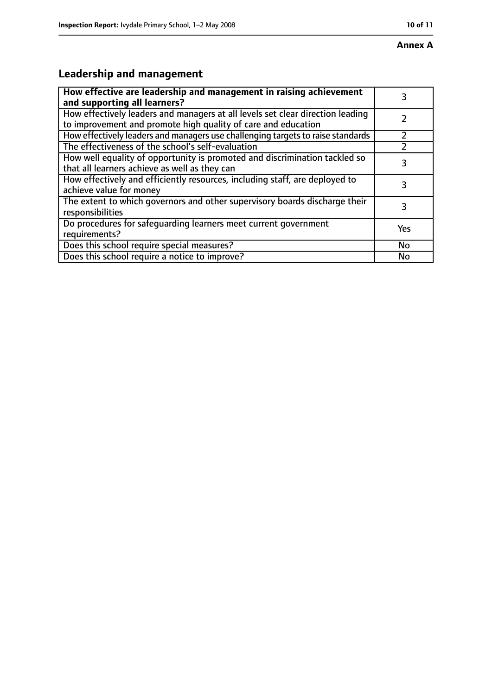# **Annex A**

# **Leadership and management**

| How effective are leadership and management in raising achievement<br>and supporting all learners?                                              |     |
|-------------------------------------------------------------------------------------------------------------------------------------------------|-----|
| How effectively leaders and managers at all levels set clear direction leading<br>to improvement and promote high quality of care and education |     |
| How effectively leaders and managers use challenging targets to raise standards                                                                 |     |
| The effectiveness of the school's self-evaluation                                                                                               |     |
| How well equality of opportunity is promoted and discrimination tackled so<br>that all learners achieve as well as they can                     | 3   |
| How effectively and efficiently resources, including staff, are deployed to<br>achieve value for money                                          | З   |
| The extent to which governors and other supervisory boards discharge their<br>responsibilities                                                  | 3   |
| Do procedures for safequarding learners meet current government<br>requirements?                                                                | Yes |
| Does this school require special measures?                                                                                                      | No  |
| Does this school require a notice to improve?                                                                                                   | No  |